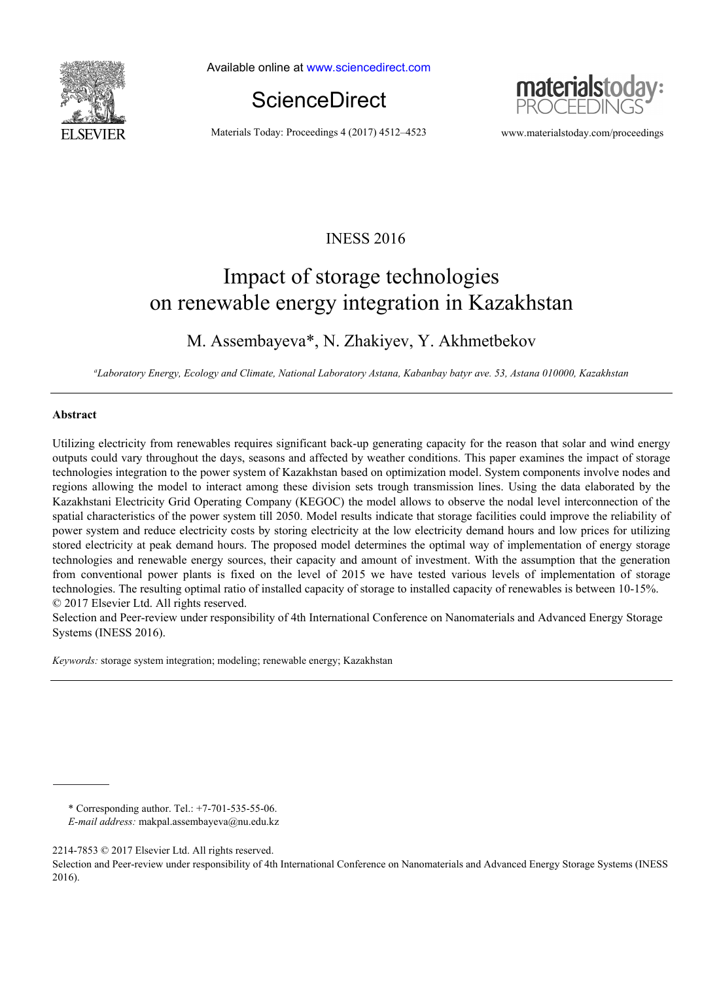

Available online at www.sciencedirect.com





Materials Today: Proceedings 4 (2017) 4512–4523 www.materialstoday.com/proceedings

## INESS 2016

# Impact of storage technologies on renewable energy integration in Kazakhstan

### M. Assembayeva\*, N. Zhakiyev, Y. Akhmetbekov

*a Laboratory Energy, Ecology and Climate, National Laboratory Astana, Kabanbay batyr ave. 53, Astana 010000, Kazakhstan* 

#### **Abstract**

Utilizing electricity from renewables requires significant back-up generating capacity for the reason that solar and wind energy outputs could vary throughout the days, seasons and affected by weather conditions. This paper examines the impact of storage technologies integration to the power system of Kazakhstan based on optimization model. System components involve nodes and regions allowing the model to interact among these division sets trough transmission lines. Using the data elaborated by the Kazakhstani Electricity Grid Operating Company (KEGOC) the model allows to observe the nodal level interconnection of the spatial characteristics of the power system till 2050. Model results indicate that storage facilities could improve the reliability of power system and reduce electricity costs by storing electricity at the low electricity demand hours and low prices for utilizing stored electricity at peak demand hours. The proposed model determines the optimal way of implementation of energy storage technologies and renewable energy sources, their capacity and amount of investment. With the assumption that the generation from conventional power plants is fixed on the level of 2015 we have tested various levels of implementation of storage technologies. The resulting optimal ratio of installed capacity of storage to installed capacity of renewables is between 10-15%. © 2017 Elsevier Ltd. All rights reserved.

Selection and Peer-review under responsibility of 4th International Conference on Nanomaterials and Advanced Energy Storage Systems (INESS 2016).

*Keywords:* storage system integration; modeling; renewable energy; Kazakhstan

\* Corresponding author. Tel.: +7-701-535-55-06.

*E-mail address:* makpal.assembayeva@nu.edu.kz

<sup>2214-7853 © 2017</sup> Elsevier Ltd. All rights reserved.

Selection and Peer-review under responsibility of 4th International Conference on Nanomaterials and Advanced Energy Storage Systems (INESS 2016).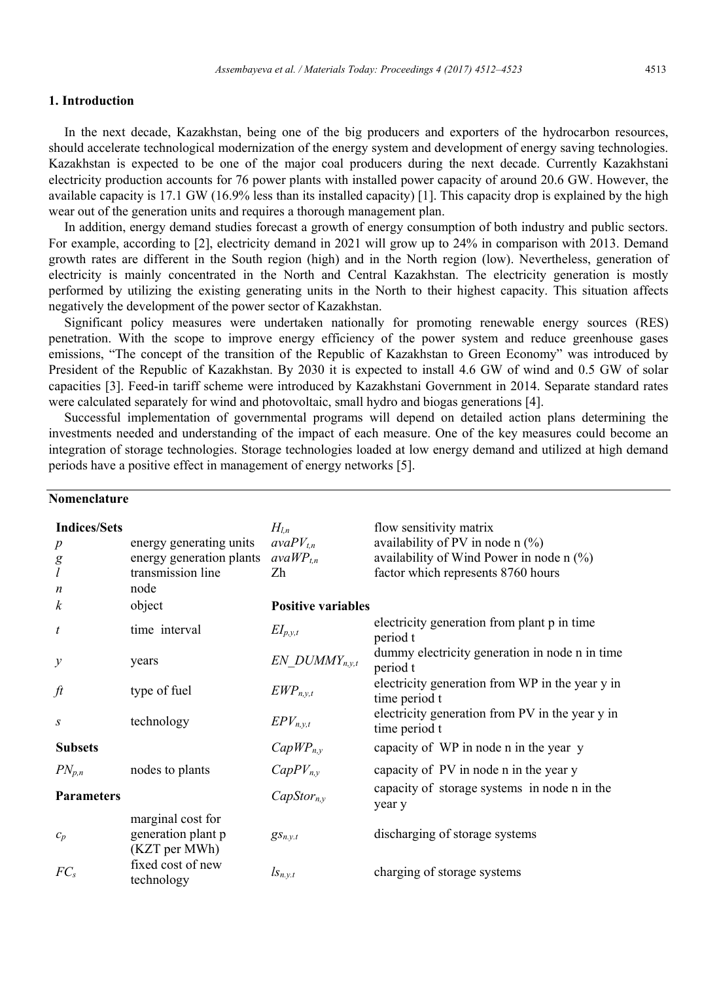#### **1. Introduction**

In the next decade, Kazakhstan, being one of the big producers and exporters of the hydrocarbon resources, should accelerate technological modernization of the energy system and development of energy saving technologies. Kazakhstan is expected to be one of the major coal producers during the next decade. Currently Kazakhstani electricity production accounts for 76 power plants with installed power capacity of around 20.6 GW. However, the available capacity is 17.1 GW (16.9% less than its installed capacity) [1]. This capacity drop is explained by the high wear out of the generation units and requires a thorough management plan.

In addition, energy demand studies forecast a growth of energy consumption of both industry and public sectors. For example, according to [2], electricity demand in 2021 will grow up to 24% in comparison with 2013. Demand growth rates are different in the South region (high) and in the North region (low). Nevertheless, generation of electricity is mainly concentrated in the North and Central Kazakhstan. The electricity generation is mostly performed by utilizing the existing generating units in the North to their highest capacity. This situation affects negatively the development of the power sector of Kazakhstan.

Significant policy measures were undertaken nationally for promoting renewable energy sources (RES) penetration. With the scope to improve energy efficiency of the power system and reduce greenhouse gases emissions, "The concept of the transition of the Republic of Kazakhstan to Green Economy" was introduced by President of the Republic of Kazakhstan. By 2030 it is expected to install 4.6 GW of wind and 0.5 GW of solar capacities [3]. Feed-in tariff scheme were introduced by Kazakhstani Government in 2014. Separate standard rates were calculated separately for wind and photovoltaic, small hydro and biogas generations [4].

Successful implementation of governmental programs will depend on detailed action plans determining the investments needed and understanding of the impact of each measure. One of the key measures could become an integration of storage technologies. Storage technologies loaded at low energy demand and utilized at high demand periods have a positive effect in management of energy networks [5].

### **Nomenclature**

| <b>Indices/Sets</b><br>$\boldsymbol{p}$<br>$g_{\tilde{l}}$<br>n | energy generating units<br>energy generation plants<br>transmission line<br>node | $H_{l,n}$<br>$avaPV_{t,n}$<br>$avaWP_{t,n}$<br>Zh | flow sensitivity matrix<br>availability of PV in node n $(\%)$<br>availability of Wind Power in node $n$ (%)<br>factor which represents 8760 hours |
|-----------------------------------------------------------------|----------------------------------------------------------------------------------|---------------------------------------------------|----------------------------------------------------------------------------------------------------------------------------------------------------|
| k                                                               | object                                                                           | <b>Positive variables</b>                         |                                                                                                                                                    |
| t                                                               | time interval                                                                    | $EI_{p,y,t}$                                      | electricity generation from plant p in time<br>period t                                                                                            |
| у                                                               | years                                                                            | $EN$ DUMMY <sub>n, y,t</sub>                      | dummy electricity generation in node n in time<br>period t                                                                                         |
| ft                                                              | type of fuel                                                                     | $EWP_{n,y,t}$                                     | electricity generation from WP in the year y in<br>time period t                                                                                   |
| S                                                               | technology                                                                       | $EPV_{n,y,t}$                                     | electricity generation from PV in the year y in<br>time period t                                                                                   |
| <b>Subsets</b>                                                  |                                                                                  | $CapWP_{n,v}$                                     | capacity of WP in node n in the year y                                                                                                             |
| $PN_{p,n}$                                                      | nodes to plants                                                                  | $CapPV_{n,v}$                                     | capacity of PV in node n in the year y                                                                                                             |
| <b>Parameters</b>                                               |                                                                                  | $CapStor_{n,v}$                                   | capacity of storage systems in node n in the<br>year y                                                                                             |
| $c_p$                                                           | marginal cost for<br>generation plant p<br>(KZT per MWh)                         | $gs_{n.v.t}$                                      | discharging of storage systems                                                                                                                     |
| $FC_s$                                                          | fixed cost of new<br>technology                                                  | $l_{s_{n,y,t}}$                                   | charging of storage systems                                                                                                                        |